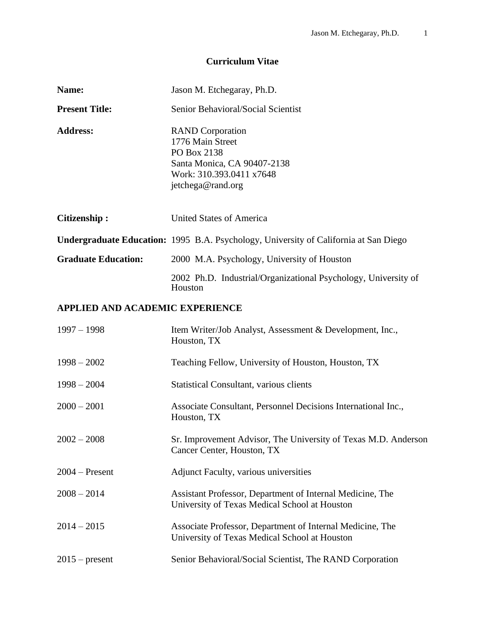# **Curriculum Vitae**

| Name:                                  | Jason M. Etchegaray, Ph.D.                                                                                                                 |
|----------------------------------------|--------------------------------------------------------------------------------------------------------------------------------------------|
| <b>Present Title:</b>                  | Senior Behavioral/Social Scientist                                                                                                         |
| <b>Address:</b>                        | <b>RAND</b> Corporation<br>1776 Main Street<br>PO Box 2138<br>Santa Monica, CA 90407-2138<br>Work: 310.393.0411 x7648<br>jetchega@rand.org |
| <b>Citizenship:</b>                    | <b>United States of America</b>                                                                                                            |
|                                        | <b>Undergraduate Education:</b> 1995 B.A. Psychology, University of California at San Diego                                                |
| <b>Graduate Education:</b>             | 2000 M.A. Psychology, University of Houston                                                                                                |
|                                        | 2002 Ph.D. Industrial/Organizational Psychology, University of<br>Houston                                                                  |
| <b>APPLIED AND ACADEMIC EXPERIENCE</b> |                                                                                                                                            |
| $1997 - 1998$                          | Item Writer/Job Analyst, Assessment & Development, Inc.,<br>Houston, TX                                                                    |
| $1998 - 2002$                          | Teaching Fellow, University of Houston, Houston, TX                                                                                        |
| $1998 - 2004$                          | <b>Statistical Consultant, various clients</b>                                                                                             |
| $2000 - 2001$                          | Associate Consultant, Personnel Decisions International Inc.,<br>Houston, TX                                                               |
| $2002 - 2008$                          | Sr. Improvement Advisor, The University of Texas M.D. Anderson<br>Cancer Center, Houston, TX                                               |
| $2004 - Present$                       | <b>Adjunct Faculty, various universities</b>                                                                                               |
| $2008 - 2014$                          | Assistant Professor, Department of Internal Medicine, The<br>University of Texas Medical School at Houston                                 |
| $2014 - 2015$                          | Associate Professor, Department of Internal Medicine, The<br>University of Texas Medical School at Houston                                 |
| $2015$ – present                       | Senior Behavioral/Social Scientist, The RAND Corporation                                                                                   |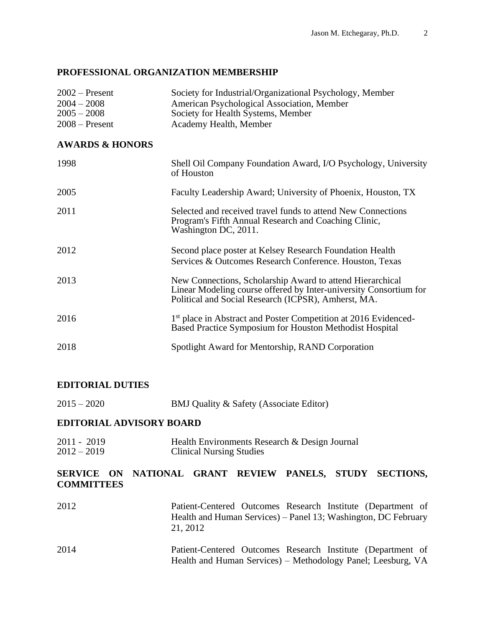## **PROFESSIONAL ORGANIZATION MEMBERSHIP**

| $2002$ – Present<br>$2004 - 2008$<br>$2005 - 2008$<br>$2008 -$ Present | Society for Industrial/Organizational Psychology, Member<br>American Psychological Association, Member<br>Society for Health Systems, Member<br>Academy Health, Member                |
|------------------------------------------------------------------------|---------------------------------------------------------------------------------------------------------------------------------------------------------------------------------------|
| <b>AWARDS &amp; HONORS</b>                                             |                                                                                                                                                                                       |
| 1998                                                                   | Shell Oil Company Foundation Award, I/O Psychology, University<br>of Houston                                                                                                          |
| 2005                                                                   | Faculty Leadership Award; University of Phoenix, Houston, TX                                                                                                                          |
| 2011                                                                   | Selected and received travel funds to attend New Connections<br>Program's Fifth Annual Research and Coaching Clinic,<br>Washington DC, 2011.                                          |
| 2012                                                                   | Second place poster at Kelsey Research Foundation Health<br>Services & Outcomes Research Conference. Houston, Texas                                                                   |
| 2013                                                                   | New Connections, Scholarship Award to attend Hierarchical<br>Linear Modeling course offered by Inter-university Consortium for<br>Political and Social Research (ICPSR), Amherst, MA. |
| 2016                                                                   | 1 <sup>st</sup> place in Abstract and Poster Competition at 2016 Evidenced-<br>Based Practice Symposium for Houston Methodist Hospital                                                |
| 2018                                                                   | Spotlight Award for Mentorship, RAND Corporation                                                                                                                                      |

## **EDITORIAL DUTIES**

| $2015 - 2020$ | BMJ Quality & Safety (Associate Editor) |
|---------------|-----------------------------------------|
|---------------|-----------------------------------------|

## **EDITORIAL ADVISORY BOARD**

2011 - 2019 Health Environments Research & Design Journal 2012 – 2019 Clinical Nursing Studies

## **SERVICE ON NATIONAL GRANT REVIEW PANELS, STUDY SECTIONS, COMMITTEES**

| 2012 | Patient-Centered Outcomes Research Institute (Department of    |
|------|----------------------------------------------------------------|
|      | Health and Human Services) – Panel 13; Washington, DC February |
|      | 21, 2012                                                       |
| 2014 | Patient-Centered Outcomes Research Institute (Department of    |
|      | Health and Human Services) – Methodology Panel; Leesburg, VA   |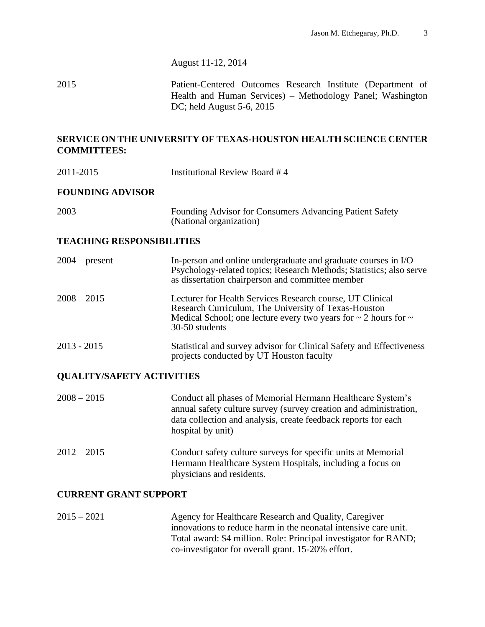August 11-12, 2014

2015 Patient-Centered Outcomes Research Institute (Department of Health and Human Services) – Methodology Panel; Washington DC; held August 5-6, 2015

## **SERVICE ON THE UNIVERSITY OF TEXAS-HOUSTON HEALTH SCIENCE CENTER COMMITTEES:**

2011-2015 Institutional Review Board # 4

## **FOUNDING ADVISOR**

| 2003 | Founding Advisor for Consumers Advancing Patient Safety |
|------|---------------------------------------------------------|
|      | (National organization)                                 |

## **TEACHING RESPONSIBILITIES**

| $2004$ – present | In-person and online undergraduate and graduate courses in I/O<br>Psychology-related topics; Research Methods; Statistics; also serve<br>as dissertation chairperson and committee member                        |
|------------------|------------------------------------------------------------------------------------------------------------------------------------------------------------------------------------------------------------------|
| $2008 - 2015$    | Lecturer for Health Services Research course, UT Clinical<br>Research Curriculum, The University of Texas-Houston<br>Medical School; one lecture every two years for $\sim$ 2 hours for $\sim$<br>30-50 students |
| $2013 - 2015$    | Statistical and survey advisor for Clinical Safety and Effectiveness<br>projects conducted by UT Houston faculty                                                                                                 |

## **QUALITY/SAFETY ACTIVITIES**

| $2008 - 2015$ | Conduct all phases of Memorial Hermann Healthcare System's<br>annual safety culture survey (survey creation and administration,<br>data collection and analysis, create feedback reports for each<br>hospital by unit) |
|---------------|------------------------------------------------------------------------------------------------------------------------------------------------------------------------------------------------------------------------|
| $2012 - 2015$ | Conduct safety culture surveys for specific units at Memorial<br>Hermann Healthcare System Hospitals, including a focus on<br>physicians and residents.                                                                |

## **CURRENT GRANT SUPPORT**

2015 – 2021 Agency for Healthcare Research and Quality, Caregiver innovations to reduce harm in the neonatal intensive care unit. Total award: \$4 million. Role: Principal investigator for RAND; co-investigator for overall grant. 15-20% effort.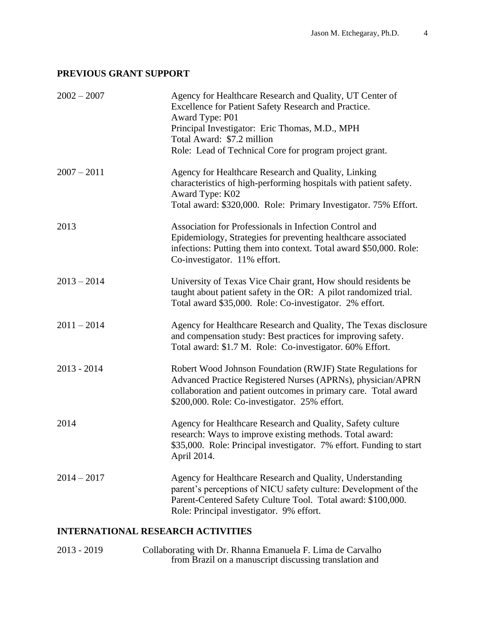## **PREVIOUS GRANT SUPPORT**

| $2002 - 2007$ | Agency for Healthcare Research and Quality, UT Center of<br>Excellence for Patient Safety Research and Practice.<br>Award Type: P01<br>Principal Investigator: Eric Thomas, M.D., MPH<br>Total Award: \$7.2 million<br>Role: Lead of Technical Core for program project grant. |
|---------------|--------------------------------------------------------------------------------------------------------------------------------------------------------------------------------------------------------------------------------------------------------------------------------|
| $2007 - 2011$ | Agency for Healthcare Research and Quality, Linking<br>characteristics of high-performing hospitals with patient safety.<br>Award Type: K02<br>Total award: \$320,000. Role: Primary Investigator. 75% Effort.                                                                 |
| 2013          | Association for Professionals in Infection Control and<br>Epidemiology, Strategies for preventing healthcare associated<br>infections: Putting them into context. Total award \$50,000. Role:<br>Co-investigator. 11% effort.                                                  |
| $2013 - 2014$ | University of Texas Vice Chair grant, How should residents be<br>taught about patient safety in the OR: A pilot randomized trial.<br>Total award \$35,000. Role: Co-investigator. 2% effort.                                                                                   |
| $2011 - 2014$ | Agency for Healthcare Research and Quality, The Texas disclosure<br>and compensation study: Best practices for improving safety.<br>Total award: \$1.7 M. Role: Co-investigator. 60% Effort.                                                                                   |
| $2013 - 2014$ | Robert Wood Johnson Foundation (RWJF) State Regulations for<br>Advanced Practice Registered Nurses (APRNs), physician/APRN<br>collaboration and patient outcomes in primary care. Total award<br>\$200,000. Role: Co-investigator. 25% effort.                                 |
| 2014          | Agency for Healthcare Research and Quality, Safety culture<br>research: Ways to improve existing methods. Total award:<br>\$35,000. Role: Principal investigator. 7% effort. Funding to start<br>April 2014.                                                                   |
| $2014 - 2017$ | Agency for Healthcare Research and Quality, Understanding<br>parent's perceptions of NICU safety culture: Development of the<br>Parent-Centered Safety Culture Tool. Total award: \$100,000.<br>Role: Principal investigator. 9% effort.                                       |

# **INTERNATIONAL RESEARCH ACTIVITIES**

2013 - 2019 Collaborating with Dr. Rhanna Emanuela F. Lima de Carvalho from Brazil on a manuscript discussing translation and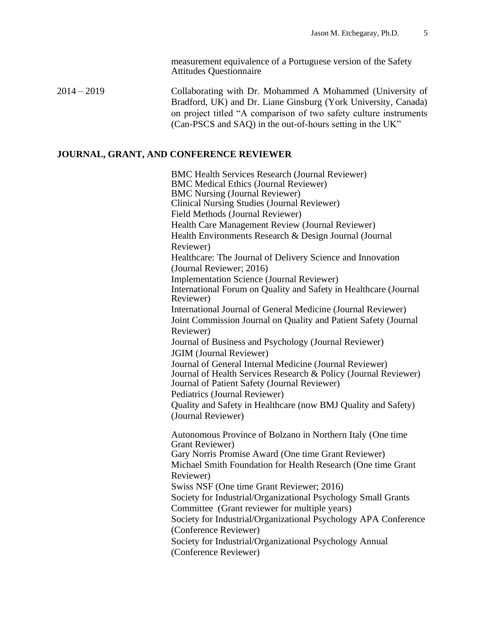measurement equivalence of a Portuguese version of the Safety Attitudes Questionnaire

2014 – 2019 Collaborating with Dr. Mohammed A Mohammed (University of Bradford, UK) and Dr. Liane Ginsburg (York University, Canada) on project titled "A comparison of two safety culture instruments (Can-PSCS and SAQ) in the out-of-hours setting in the UK"

### **JOURNAL, GRANT, AND CONFERENCE REVIEWER**

BMC Health Services Research (Journal Reviewer) BMC Medical Ethics (Journal Reviewer) BMC Nursing (Journal Reviewer) Clinical Nursing Studies (Journal Reviewer) Field Methods (Journal Reviewer) Health Care Management Review (Journal Reviewer) Health Environments Research & Design Journal (Journal Reviewer) Healthcare: The Journal of Delivery Science and Innovation (Journal Reviewer; 2016) Implementation Science (Journal Reviewer) International Forum on Quality and Safety in Healthcare (Journal Reviewer) International Journal of General Medicine (Journal Reviewer) Joint Commission Journal on Quality and Patient Safety (Journal Reviewer) Journal of Business and Psychology (Journal Reviewer) JGIM (Journal Reviewer) Journal of General Internal Medicine (Journal Reviewer) Journal of Health Services Research & Policy (Journal Reviewer) Journal of Patient Safety (Journal Reviewer) Pediatrics (Journal Reviewer) Quality and Safety in Healthcare (now BMJ Quality and Safety) (Journal Reviewer) Autonomous Province of Bolzano in Northern Italy (One time Grant Reviewer) Gary Norris Promise Award (One time Grant Reviewer) Michael Smith Foundation for Health Research (One time Grant Reviewer) Swiss NSF (One time Grant Reviewer; 2016) Society for Industrial/Organizational Psychology Small Grants Committee (Grant reviewer for multiple years) Society for Industrial/Organizational Psychology APA Conference (Conference Reviewer) Society for Industrial/Organizational Psychology Annual (Conference Reviewer)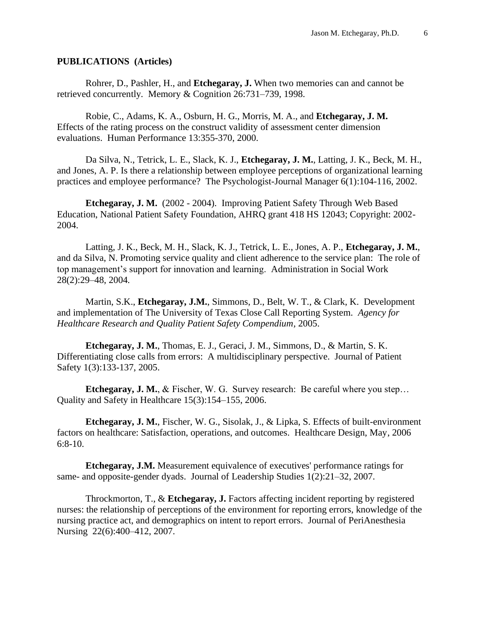#### **PUBLICATIONS (Articles)**

Rohrer, D., Pashler, H., and **Etchegaray, J.** When two memories can and cannot be retrieved concurrently*.* Memory & Cognition 26:731–739, 1998.

Robie, C., Adams, K. A., Osburn, H. G., Morris, M. A., and **Etchegaray, J. M.** Effects of the rating process on the construct validity of assessment center dimension evaluations. Human Performance 13:355-370, 2000.

Da Silva, N., Tetrick, L. E., Slack, K. J., **Etchegaray, J. M.**, Latting, J. K., Beck, M. H., and Jones, A. P. Is there a relationship between employee perceptions of organizational learning practices and employee performance? The Psychologist-Journal Manager 6(1):104-116, 2002.

**Etchegaray, J. M.** (2002 - 2004). Improving Patient Safety Through Web Based Education, National Patient Safety Foundation, AHRQ grant 418 HS 12043; Copyright: 2002- 2004.

Latting, J. K., Beck, M. H., Slack, K. J., Tetrick, L. E., Jones, A. P., **Etchegaray, J. M.**, and da Silva, N. Promoting service quality and client adherence to the service plan: The role of top management's support for innovation and learning. Administration in Social Work 28(2):29–48, 2004*.*

Martin, S.K., **Etchegaray, J.M.**, Simmons, D., Belt, W. T., & Clark, K. Development and implementation of The University of Texas Close Call Reporting System. *Agency for Healthcare Research and Quality Patient Safety Compendium,* 2005.

**Etchegaray, J. M.**, Thomas, E. J., Geraci, J. M., Simmons, D., & Martin, S. K. Differentiating close calls from errors: A multidisciplinary perspective. Journal of Patient Safety 1(3):133-137, 2005.

**Etchegaray, J. M.**, & Fischer, W. G. Survey research: Be careful where you step… Quality and Safety in Healthcare 15(3):154–155, 2006.

**Etchegaray, J. M.**, Fischer, W. G., Sisolak, J., & Lipka, S. Effects of built-environment factors on healthcare: Satisfaction, operations, and outcomes. Healthcare Design, May, 2006 6:8-10.

**Etchegaray, J.M.** Measurement equivalence of executives' performance ratings for same- and opposite-gender dyads. Journal of Leadership Studies 1(2):21–32, 2007.

Throckmorton, T., & **Etchegaray, J.** [Factors affecting incident reporting by registered](file://///129.106.153.1/pmid:18039512)  [nurses: the relationship of perceptions of the environment for reporting errors, knowledge of the](file://///129.106.153.1/pmid:18039512)  [nursing practice act, and demographics on intent to report errors.](file://///129.106.153.1/pmid:18039512) Journal of PeriAnesthesia Nursing 22(6):400–412, 2007.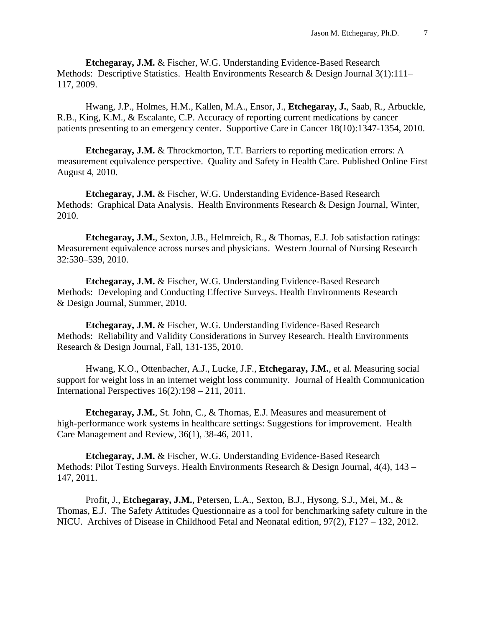**Etchegaray, J.M.** & Fischer, W.G. Understanding Evidence-Based Research Methods: Descriptive Statistics. Health Environments Research & Design Journal 3(1):111– 117, 2009.

Hwang, J.P., Holmes, H.M., Kallen, M.A., Ensor, J., **Etchegaray, J.**, Saab, R., Arbuckle, R.B., King, K.M., & Escalante, C.P. Accuracy of reporting current medications by cancer patients presenting to an emergency center. Supportive Care in Cancer 18(10):1347-1354, 2010.

**Etchegaray, J.M.** & Throckmorton, T.T. Barriers to reporting medication errors: A measurement equivalence perspective. Quality and Safety in Health Care. Published Online First August 4, 2010.

**Etchegaray, J.M.** & Fischer, W.G. Understanding Evidence-Based Research Methods: Graphical Data Analysis. Health Environments Research & Design Journal, Winter, 2010.

**Etchegaray, J.M.**, Sexton, J.B., Helmreich, R., & Thomas, E.J. Job satisfaction ratings: Measurement equivalence across nurses and physicians. Western Journal of Nursing Research 32:530–539, 2010.

**Etchegaray, J.M.** & Fischer, W.G. Understanding Evidence-Based Research Methods: Developing and Conducting Effective Surveys. Health Environments Research & Design Journal, Summer, 2010.

**Etchegaray, J.M.** & Fischer, W.G. Understanding Evidence-Based Research Methods: Reliability and Validity Considerations in Survey Research. Health Environments Research & Design Journal, Fall, 131-135, 2010.

Hwang, K.O., Ottenbacher, A.J., Lucke, J.F., **Etchegaray, J.M.**, et al. Measuring social support for weight loss in an internet weight loss community. Journal of Health Communication International Perspectives 16(2)*:*198 – 211, 2011.

**Etchegaray, J.M.**, St. John, C., & Thomas, E.J. Measures and measurement of high-performance work systems in healthcare settings: Suggestions for improvement. Health Care Management and Review, 36(1), 38-46, 2011.

**Etchegaray, J.M.** & Fischer, W.G. Understanding Evidence-Based Research Methods: Pilot Testing Surveys. Health Environments Research & Design Journal, 4(4), 143 – 147, 2011.

Profit, J., **Etchegaray, J.M.**, Petersen, L.A., Sexton, B.J., Hysong, S.J., Mei, M., & Thomas, E.J. The Safety Attitudes Questionnaire as a tool for benchmarking safety culture in the NICU. Archives of Disease in Childhood Fetal and Neonatal edition, 97(2), F127 – 132, 2012.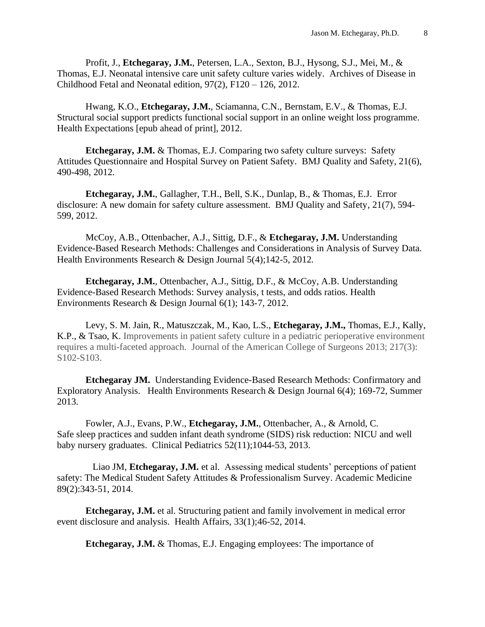Profit, J., **Etchegaray, J.M.**, Petersen, L.A., Sexton, B.J., Hysong, S.J., Mei, M., & Thomas, E.J. Neonatal intensive care unit safety culture varies widely. Archives of Disease in Childhood Fetal and Neonatal edition, 97(2), F120 – 126, 2012.

Hwang, K.O., **Etchegaray, J.M.**, Sciamanna, C.N., Bernstam, E.V., & Thomas, E.J. Structural social support predicts functional social support in an online weight loss programme. Health Expectations [epub ahead of print], 2012.

**Etchegaray, J.M.** & Thomas, E.J. Comparing two safety culture surveys: Safety Attitudes Questionnaire and Hospital Survey on Patient Safety. BMJ Quality and Safety, 21(6), 490-498, 2012*.*

**Etchegaray, J.M.**, Gallagher, T.H., Bell, S.K., Dunlap, B., & Thomas, E.J. Error disclosure: A new domain for safety culture assessment. BMJ Quality and Safety, 21(7), 594- 599, 2012.

McCoy, A.B., Ottenbacher, A.J., Sittig, D.F., & **Etchegaray, J.M.** Understanding Evidence-Based Research Methods: Challenges and Considerations in Analysis of Survey Data. Health Environments Research & Design Journal 5(4);142-5, 2012*.*

**Etchegaray, J.M.**, Ottenbacher, A.J., Sittig, D.F., & McCoy, A.B. Understanding Evidence-Based Research Methods: Survey analysis, t tests, and odds ratios. Health Environments Research & Design Journal 6(1); 143-7*,* 2012.

Levy, S. M. Jain, R., Matuszczak, M., Kao, L.S., **Etchegaray, J.M.,** Thomas, E.J., Kally, K.P., & Tsao, K. Improvements in patient safety culture in a pediatric perioperative environment requires a multi-faceted approach. Journal of the American College of Surgeons 2013; 217(3): S102-S103.

**Etchegaray JM.** Understanding Evidence-Based Research Methods: Confirmatory and Exploratory Analysis. Health Environments Research & Design Journal 6(4); 169-72, Summer 2013.

Fowler, A.J., Evans, P.W., **Etchegaray, J.M.**, Ottenbacher, A., & Arnold, C. Safe sleep practices and sudden infant death syndrome (SIDS) risk reduction: NICU and well baby nursery graduates. Clinical Pediatrics 52(11);1044-53, 2013.

Liao JM, **Etchegaray, J.M.** et al. Assessing medical students' perceptions of patient safety: The Medical Student Safety Attitudes & Professionalism Survey. Academic Medicine 89(2):343-51, 2014.

**Etchegaray, J.M.** et al. Structuring patient and family involvement in medical error event disclosure and analysis. Health Affairs, 33(1);46-52, 2014.

**Etchegaray, J.M.** & Thomas, E.J. Engaging employees: The importance of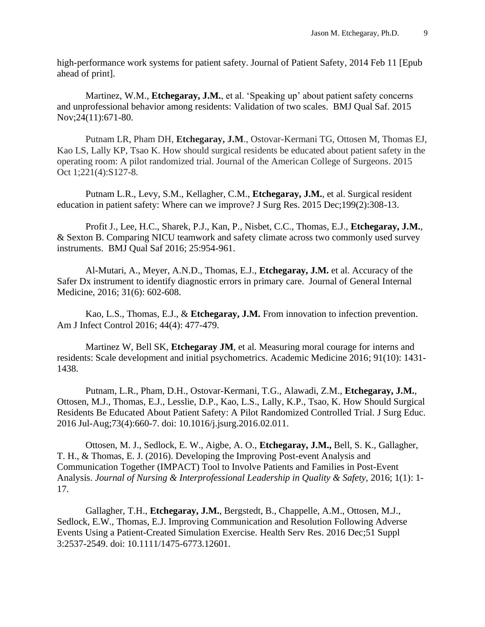high-performance work systems for patient safety. Journal of Patient Safety*,* 2014 Feb 11 [Epub ahead of print].

Martinez, W.M., **Etchegaray, J.M.**, et al. 'Speaking up' about patient safety concerns and unprofessional behavior among residents: Validation of two scales. BMJ Qual Saf. 2015 Nov;24(11):671-80.

Putnam LR, Pham DH, **Etchegaray, J.M**., Ostovar-Kermani TG, Ottosen M, Thomas EJ, Kao LS, Lally KP, Tsao K. How should surgical residents be educated about patient safety in the operating room: A pilot randomized trial. Journal of the American College of Surgeons. 2015 Oct 1;221(4):S127-8.

Putnam L.R., Levy, S.M., Kellagher, C.M., **Etchegaray, J.M.**, et al. Surgical resident education in patient safety: Where can we improve? J Surg Res. 2015 Dec;199(2):308-13.

Profit J., Lee, H.C., Sharek, P.J., Kan, P., Nisbet, C.C., Thomas, E.J., **Etchegaray, J.M.**, & Sexton B. Comparing NICU teamwork and safety climate across two commonly used survey instruments. BMJ Qual Saf 2016; 25:954-961.

Al-Mutari, A., Meyer, A.N.D., Thomas, E.J., **Etchegaray, J.M.** et al. Accuracy of the Safer Dx instrument to identify diagnostic errors in primary care. Journal of General Internal Medicine, 2016; 31(6): 602-608.

Kao, L.S., Thomas, E.J., & **Etchegaray, J.M.** From innovation to infection prevention. Am J Infect Control 2016; 44(4): 477-479.

Martinez W, Bell SK, **Etchegaray JM**, et al. Measuring moral courage for interns and residents: Scale development and initial psychometrics. Academic Medicine 2016; 91(10): 1431- 1438.

Putnam, L.R., Pham, D.H., Ostovar-Kermani, T.G., Alawadi, Z.M., **Etchegaray, J.M.**, Ottosen, M.J., Thomas, E.J., Lesslie, D.P., Kao, L.S., Lally, K.P., Tsao, K. [How Should Surgical](https://www.ncbi.nlm.nih.gov/pubmed/27137661)  [Residents Be Educated About Patient Safety: A Pilot Randomized Controlled Trial.](https://www.ncbi.nlm.nih.gov/pubmed/27137661) J Surg Educ. 2016 Jul-Aug;73(4):660-7. doi: 10.1016/j.jsurg.2016.02.011.

Ottosen, M. J., Sedlock, E. W., Aigbe, A. O., **Etchegaray, J.M.,** Bell, S. K., Gallagher, T. H., & Thomas, E. J. (2016). Developing the Improving Post-event Analysis and Communication Together (IMPACT) Tool to Involve Patients and Families in Post-Event Analysis. *Journal of Nursing & Interprofessional Leadership in Quality & Safety, 2016; 1(1): 1-*17.

Gallagher, T.H., **Etchegaray, J.M.**, Bergstedt, B., Chappelle, A.M., Ottosen, M.J., Sedlock, E.W., Thomas, E.J. [Improving Communication and Resolution Following Adverse](https://www.ncbi.nlm.nih.gov/pubmed/27790708)  [Events Using a Patient-Created Simulation Exercise.](https://www.ncbi.nlm.nih.gov/pubmed/27790708) Health Serv Res. 2016 Dec;51 Suppl 3:2537-2549. doi: 10.1111/1475-6773.12601.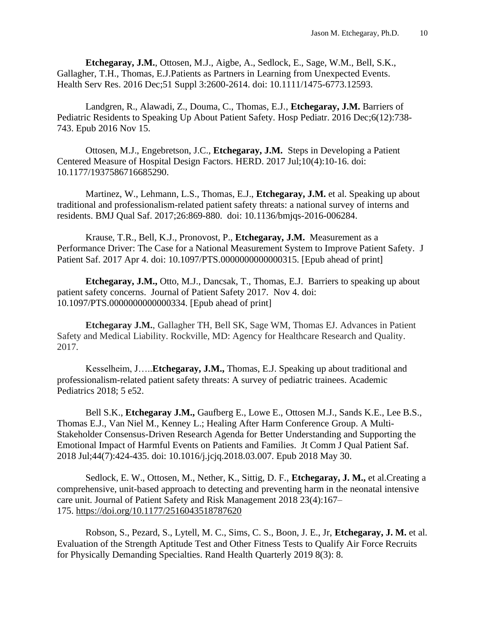**Etchegaray, J.M.**, Ottosen, M.J., Aigbe, A., Sedlock, E., Sage, W.M., Bell, S.K., Gallagher, T.H., Thomas, E.J[.Patients as Partners in Learning from Unexpected Events.](https://www.ncbi.nlm.nih.gov/pubmed/27778321) Health Serv Res. 2016 Dec;51 Suppl 3:2600-2614. doi: 10.1111/1475-6773.12593.

Landgren, R., Alawadi, Z., Douma, C., Thomas, E.J., **Etchegaray, J.M.** [Barriers of](https://www.ncbi.nlm.nih.gov/pubmed/27909093)  [Pediatric Residents to Speaking Up About Patient Safety.](https://www.ncbi.nlm.nih.gov/pubmed/27909093) Hosp Pediatr. 2016 Dec;6(12):738- 743. Epub 2016 Nov 15.

Ottosen, M.J., Engebretson, J.C., **Etchegaray, J.M.** [Steps in Developing a Patient](https://www.ncbi.nlm.nih.gov/pubmed/28042715)  [Centered Measure of Hospital Design Factors.](https://www.ncbi.nlm.nih.gov/pubmed/28042715) HERD. 2017 Jul;10(4):10-16. doi: 10.1177/1937586716685290.

Martinez, W., Lehmann, L.S., Thomas, E.J., **Etchegaray, J.M.** et al. [Speaking up about](https://www.ncbi.nlm.nih.gov/pubmed/28442609)  [traditional and professionalism-related patient safety threats: a national survey of interns and](https://www.ncbi.nlm.nih.gov/pubmed/28442609)  [residents.](https://www.ncbi.nlm.nih.gov/pubmed/28442609) BMJ Qual Saf. 2017;26:869-880. doi: 10.1136/bmjqs-2016-006284.

Krause, T.R., Bell, K.J., Pronovost, P., **Etchegaray, J.M.** [Measurement as a](https://www.ncbi.nlm.nih.gov/pubmed/28376057)  [Performance Driver: The Case for a National Measurement System to Improve Patient Safety.](https://www.ncbi.nlm.nih.gov/pubmed/28376057) J Patient Saf. 2017 Apr 4. doi: 10.1097/PTS.0000000000000315. [Epub ahead of print]

**Etchegaray, J.M.,** Otto, M.J., Dancsak, T., Thomas, E.J. Barriers to speaking up about patient safety concerns. Journal of Patient Safety 2017. Nov 4. doi: 10.1097/PTS.0000000000000334. [Epub ahead of print]

**Etchegaray J.M.**, Gallagher TH, Bell SK, Sage WM, Thomas EJ. Advances in Patient Safety and Medical Liability. Rockville, MD: Agency for Healthcare Research and Quality. 2017.

Kesselheim, J…..**Etchegaray, J.M.,** Thomas, E.J. Speaking up about traditional and professionalism-related patient safety threats: A survey of pediatric trainees. Academic Pediatrics 2018; 5 e52.

Bell S.K., **Etchegaray J.M.,** Gaufberg E., Lowe E., Ottosen M.J., Sands K.E., Lee B.S., Thomas E.J., Van Niel M., Kenney L.; Healing After Harm Conference Group. [A Multi-](https://www.ncbi.nlm.nih.gov/pubmed/30008355)[Stakeholder Consensus-Driven Research Agenda for Better Understanding and Supporting the](https://www.ncbi.nlm.nih.gov/pubmed/30008355)  [Emotional Impact of Harmful Events on Patients and Families.](https://www.ncbi.nlm.nih.gov/pubmed/30008355) Jt Comm J Qual Patient Saf. 2018 Jul;44(7):424-435. doi: 10.1016/j.jcjq.2018.03.007. Epub 2018 May 30.

Sedlock, E. W., Ottosen, M., Nether, K., Sittig, D. F., **Etchegaray, J. M.,** et al.Creating a comprehensive, unit-based approach to detecting and preventing harm in the neonatal intensive care unit. Journal of Patient Safety and Risk Management 2018 23(4):167– 175. <https://doi.org/10.1177/2516043518787620>

Robson, S., Pezard, S., Lytell, M. C., Sims, C. S., Boon, J. E., Jr, **Etchegaray, J. M.** et al. Evaluation of the Strength Aptitude Test and Other Fitness Tests to Qualify Air Force Recruits for Physically Demanding Specialties. Rand Health Quarterly 2019 8(3): 8.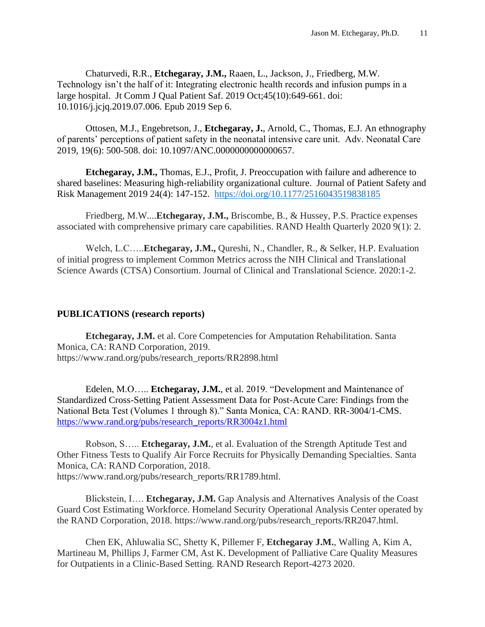Chaturvedi, R.R., **Etchegaray, J.M.,** Raaen, L., Jackson, J., Friedberg, M.W. Technology isn't the half of it: Integrating electronic health records and infusion pumps in a large hospital. Jt Comm J Qual Patient Saf. 2019 Oct;45(10):649-661. doi: 10.1016/j.jcjq.2019.07.006. Epub 2019 Sep 6.

Ottosen, M.J., Engebretson, J., **Etchegaray, J.**, Arnold, C., Thomas, E.J. An ethnography of parents' perceptions of patient safety in the neonatal intensive care unit. Adv. Neonatal Care 2019, 19(6): 500-508. doi: 10.1097/ANC.0000000000000657.

**Etchegaray, J.M.,** Thomas, E.J., Profit, J. Preoccupation with failure and adherence to shared baselines: Measuring high-reliability organizational culture. Journal of Patient Safety and Risk Management 2019 24(4): 147-152. [https://doi.org/10.1177/2516043519838185](https://doi.org/10.1177%2F2516043519838185)

Friedberg, M.W....**Etchegaray, J.M.,** Briscombe, B., & Hussey, P.S. Practice expenses associated with comprehensive primary care capabilities. RAND Health Quarterly 2020 9(1): 2.

Welch, L.C…..**Etchegaray, J.M.,** Qureshi, N., Chandler, R., & Selker, H.P. Evaluation of initial progress to implement Common Metrics across the NIH Clinical and Translational Science Awards (CTSA) Consortium. Journal of Clinical and Translational Science. 2020:1-2.

## **PUBLICATIONS (research reports)**

**Etchegaray, J.M.** et al. Core Competencies for Amputation Rehabilitation. Santa Monica, CA: RAND Corporation, 2019. https://www.rand.org/pubs/research\_reports/RR2898.html

Edelen, M.O….. **Etchegaray, J.M.**, et al. 2019. "Development and Maintenance of Standardized Cross-Setting Patient Assessment Data for Post-Acute Care: Findings from the National Beta Test (Volumes 1 through 8)." Santa Monica, CA: RAND. RR-3004/1-CMS. [https://www.rand.org/pubs/research\\_reports/RR3004z1.html](https://www.rand.org/pubs/research_reports/RR3004z1.html)

Robson, S….. **Etchegaray, J.M.**, et al. Evaluation of the Strength Aptitude Test and Other Fitness Tests to Qualify Air Force Recruits for Physically Demanding Specialties. Santa Monica, CA: RAND Corporation, 2018. https://www.rand.org/pubs/research\_reports/RR1789.html.

Blickstein, I…. **Etchegaray, J.M.** Gap Analysis and Alternatives Analysis of the Coast Guard Cost Estimating Workforce. Homeland Security Operational Analysis Center operated by the RAND Corporation, 2018. https://www.rand.org/pubs/research\_reports/RR2047.html.

Chen EK, Ahluwalia SC, Shetty K, Pillemer F, **Etchegaray J.M.**, Walling A, Kim A, Martineau M, Phillips J, Farmer CM, Ast K. Development of Palliative Care Quality Measures for Outpatients in a Clinic-Based Setting. RAND Research Report-4273 2020.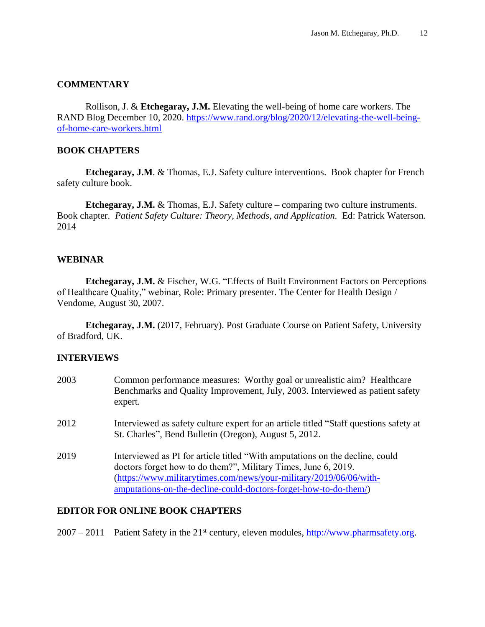## **COMMENTARY**

Rollison, J. & **Etchegaray, J.M.** Elevating the well-being of home care workers. The RAND Blog December 10, 2020. [https://www.rand.org/blog/2020/12/elevating-the-well-being](https://www.rand.org/blog/2020/12/elevating-the-well-being-of-home-care-workers.html)[of-home-care-workers.html](https://www.rand.org/blog/2020/12/elevating-the-well-being-of-home-care-workers.html)

## **BOOK CHAPTERS**

**Etchegaray, J.M**. & Thomas, E.J. Safety culture interventions. Book chapter for French safety culture book.

**Etchegaray, J.M.** & Thomas, E.J. Safety culture – comparing two culture instruments. Book chapter. *Patient Safety Culture: Theory, Methods, and Application.* Ed: Patrick Waterson. 2014

## **WEBINAR**

**Etchegaray, J.M.** & Fischer, W.G. "Effects of Built Environment Factors on Perceptions of Healthcare Quality," webinar, Role: Primary presenter. The Center for Health Design / Vendome, August 30, 2007.

**Etchegaray, J.M.** (2017, February). Post Graduate Course on Patient Safety, University of Bradford, UK.

## **INTERVIEWS**

| 2003 | Common performance measures: Worthy goal or unrealistic aim? Healthcare<br>Benchmarks and Quality Improvement, July, 2003. Interviewed as patient safety<br>expert.                                                                                                                      |
|------|------------------------------------------------------------------------------------------------------------------------------------------------------------------------------------------------------------------------------------------------------------------------------------------|
| 2012 | Interviewed as safety culture expert for an article titled "Staff questions safety at<br>St. Charles", Bend Bulletin (Oregon), August 5, 2012.                                                                                                                                           |
| 2019 | Interviewed as PI for article titled "With amputations on the decline, could<br>doctors forget how to do them?", Military Times, June 6, 2019.<br>(https://www.militarytimes.com/news/your-military/2019/06/06/with-<br>amputations-on-the-decline-could-doctors-forget-how-to-do-them/) |

## **EDITOR FOR ONLINE BOOK CHAPTERS**

 $2007 - 2011$  Patient Safety in the  $21<sup>st</sup>$  century, eleven modules, [http://www.pharmsafety.org.](http://www.pharmsafety.org/)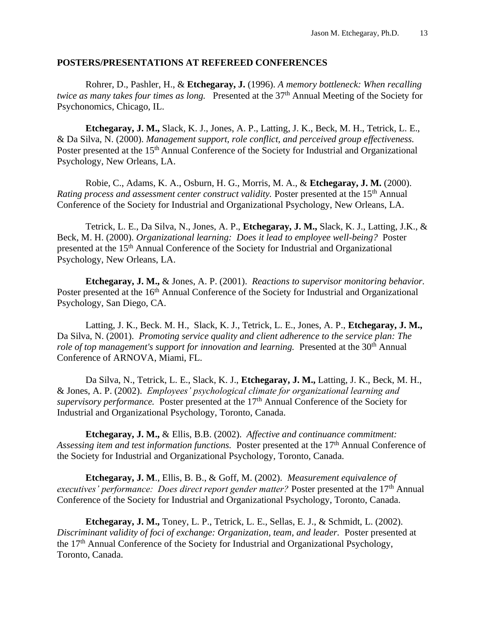### **POSTERS/PRESENTATIONS AT REFEREED CONFERENCES**

Rohrer, D., Pashler, H., & **Etchegaray, J.** (1996). *A memory bottleneck: When recalling twice as many takes four times as long.* Presented at the 37<sup>th</sup> Annual Meeting of the Society for Psychonomics, Chicago, IL.

**Etchegaray, J. M.,** Slack, K. J., Jones, A. P., Latting, J. K., Beck, M. H., Tetrick, L. E., & Da Silva, N. (2000). *Management support, role conflict, and perceived group effectiveness.* Poster presented at the 15<sup>th</sup> Annual Conference of the Society for Industrial and Organizational Psychology, New Orleans, LA.

Robie, C., Adams, K. A., Osburn, H. G., Morris, M. A., & **Etchegaray, J. M.** (2000). *Rating process and assessment center construct validity.* Poster presented at the 15th Annual Conference of the Society for Industrial and Organizational Psychology, New Orleans, LA.

Tetrick, L. E., Da Silva, N., Jones, A. P., **Etchegaray, J. M.,** Slack, K. J., Latting, J.K., & Beck, M. H. (2000). *Organizational learning: Does it lead to employee well-being?* Poster presented at the 15th Annual Conference of the Society for Industrial and Organizational Psychology, New Orleans, LA.

**Etchegaray, J. M.,** & Jones, A. P. (2001). *Reactions to supervisor monitoring behavior.* Poster presented at the 16<sup>th</sup> Annual Conference of the Society for Industrial and Organizational Psychology, San Diego, CA.

Latting, J. K., Beck. M. H., Slack, K. J., Tetrick, L. E., Jones, A. P., **Etchegaray, J. M.,** Da Silva, N. (2001). *Promoting service quality and client adherence to the service plan: The role of top management's support for innovation and learning.* Presented at the 30<sup>th</sup> Annual Conference of ARNOVA, Miami, FL.

Da Silva, N., Tetrick, L. E., Slack, K. J., **Etchegaray, J. M.,** Latting, J. K., Beck, M. H., & Jones, A. P. (2002). *Employees' psychological climate for organizational learning and supervisory performance.* Poster presented at the 17<sup>th</sup> Annual Conference of the Society for Industrial and Organizational Psychology, Toronto, Canada.

**Etchegaray, J. M.,** & Ellis, B.B. (2002). *Affective and continuance commitment: Assessing item and test information functions.* Poster presented at the 17th Annual Conference of the Society for Industrial and Organizational Psychology, Toronto, Canada.

**Etchegaray, J. M**., Ellis, B. B., & Goff, M. (2002). *Measurement equivalence of executives' performance: Does direct report gender matter?* Poster presented at the 17<sup>th</sup> Annual Conference of the Society for Industrial and Organizational Psychology, Toronto, Canada.

**Etchegaray, J. M.,** Toney, L. P., Tetrick, L. E., Sellas, E. J., & Schmidt, L. (2002). *Discriminant validity of foci of exchange: Organization, team, and leader.* Poster presented at the 17th Annual Conference of the Society for Industrial and Organizational Psychology, Toronto, Canada.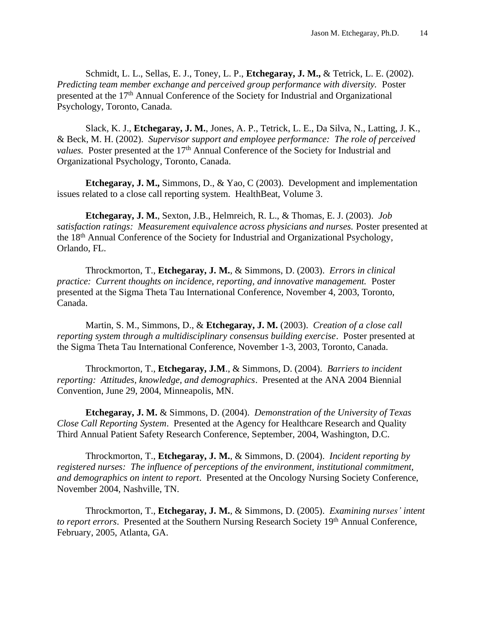Schmidt, L. L., Sellas, E. J., Toney, L. P., **Etchegaray, J. M.,** & Tetrick, L. E. (2002). *Predicting team member exchange and perceived group performance with diversity.* Poster presented at the 17<sup>th</sup> Annual Conference of the Society for Industrial and Organizational Psychology, Toronto, Canada.

Slack, K. J., **Etchegaray, J. M.**, Jones, A. P., Tetrick, L. E., Da Silva, N., Latting, J. K., & Beck, M. H. (2002). *Supervisor support and employee performance: The role of perceived values.* Poster presented at the 17<sup>th</sup> Annual Conference of the Society for Industrial and Organizational Psychology, Toronto, Canada.

**Etchegaray, J. M.,** Simmons, D., & Yao, C (2003). Development and implementation issues related to a close call reporting system. HealthBeat, Volume 3.

**Etchegaray, J. M.**, Sexton, J.B., Helmreich, R. L., & Thomas, E. J. (2003). *Job satisfaction ratings: Measurement equivalence across physicians and nurses.* Poster presented at the 18th Annual Conference of the Society for Industrial and Organizational Psychology, Orlando, FL.

Throckmorton, T., **Etchegaray, J. M.**, & Simmons, D. (2003). *Errors in clinical practice: Current thoughts on incidence, reporting, and innovative management.* Poster presented at the Sigma Theta Tau International Conference, November 4, 2003, Toronto, Canada.

Martin, S. M., Simmons, D., & **Etchegaray, J. M.** (2003). *Creation of a close call reporting system through a multidisciplinary consensus building exercise*. Poster presented at the Sigma Theta Tau International Conference, November 1-3, 2003, Toronto, Canada.

Throckmorton, T., **Etchegaray, J.M**., & Simmons, D. (2004). *Barriers to incident reporting: Attitudes, knowledge, and demographics*. Presented at the ANA 2004 Biennial Convention, June 29, 2004, Minneapolis, MN.

**Etchegaray, J. M.** & Simmons, D. (2004). *Demonstration of the University of Texas Close Call Reporting System*. Presented at the Agency for Healthcare Research and Quality Third Annual Patient Safety Research Conference, September, 2004, Washington, D.C.

Throckmorton, T., **Etchegaray, J. M.**, & Simmons, D. (2004). *Incident reporting by registered nurses: The influence of perceptions of the environment, institutional commitment, and demographics on intent to report*. Presented at the Oncology Nursing Society Conference, November 2004, Nashville, TN.

Throckmorton, T., **Etchegaray, J. M.**, & Simmons, D. (2005). *Examining nurses' intent to report errors*. Presented at the Southern Nursing Research Society 19th Annual Conference, February, 2005, Atlanta, GA.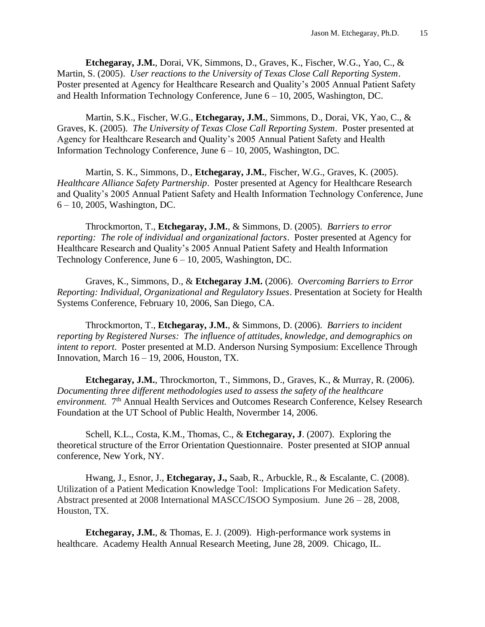**Etchegaray, J.M.**, Dorai, VK, Simmons, D., Graves, K., Fischer, W.G., Yao, C., & Martin, S. (2005). *User reactions to the University of Texas Close Call Reporting System*. Poster presented at Agency for Healthcare Research and Quality's 2005 Annual Patient Safety and Health Information Technology Conference, June 6 – 10, 2005, Washington, DC.

Martin, S.K., Fischer, W.G., **Etchegaray, J.M.**, Simmons, D., Dorai, VK, Yao, C., & Graves, K. (2005). *The University of Texas Close Call Reporting System*. Poster presented at Agency for Healthcare Research and Quality's 2005 Annual Patient Safety and Health Information Technology Conference, June 6 – 10, 2005, Washington, DC.

Martin, S. K., Simmons, D., **Etchegaray, J.M.**, Fischer, W.G., Graves, K. (2005). *Healthcare Alliance Safety Partnership*. Poster presented at Agency for Healthcare Research and Quality's 2005 Annual Patient Safety and Health Information Technology Conference, June 6 – 10, 2005, Washington, DC.

Throckmorton, T., **Etchegaray, J.M.**, & Simmons, D. (2005). *Barriers to error reporting: The role of individual and organizational factors*. Poster presented at Agency for Healthcare Research and Quality's 2005 Annual Patient Safety and Health Information Technology Conference, June 6 – 10, 2005, Washington, DC.

Graves, K., Simmons, D., & **Etchegaray J.M.** (2006). *Overcoming Barriers to Error Reporting: Individual, Organizational and Regulatory Issues*. Presentation at Society for Health Systems Conference, February 10, 2006, San Diego, CA.

Throckmorton, T., **Etchegaray, J.M.**, & Simmons, D. (2006). *Barriers to incident reporting by Registered Nurses: The influence of attitudes, knowledge, and demographics on intent to report*. Poster presented at M.D. Anderson Nursing Symposium: Excellence Through Innovation, March  $16 - 19$ , 2006, Houston, TX.

**Etchegaray, J.M.**, Throckmorton, T., Simmons, D., Graves, K., & Murray, R. (2006). *Documenting three different methodologies used to assess the safety of the healthcare*  environment. 7<sup>th</sup> Annual Health Services and Outcomes Research Conference, Kelsey Research Foundation at the UT School of Public Health, Novermber 14, 2006.

Schell, K.L., Costa, K.M., Thomas, C., & **Etchegaray, J**. (2007). Exploring the theoretical structure of the Error Orientation Questionnaire. Poster presented at SIOP annual conference, New York, NY.

Hwang, J., Esnor, J., **Etchegaray, J.,** Saab, R., Arbuckle, R., & Escalante, C. (2008). Utilization of a Patient Medication Knowledge Tool: Implications For Medication Safety. Abstract presented at 2008 International MASCC/ISOO Symposium. June 26 – 28, 2008, Houston, TX.

**Etchegaray, J.M.**, & Thomas, E. J. (2009). High-performance work systems in healthcare. Academy Health Annual Research Meeting, June 28, 2009. Chicago, IL.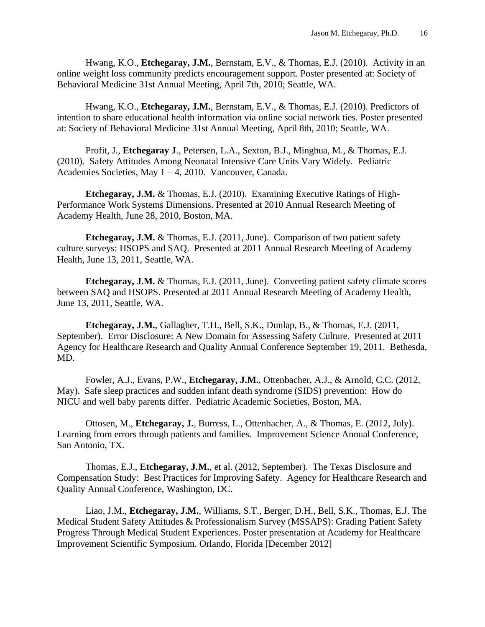Hwang, K.O., **Etchegaray, J.M.**, Bernstam, E.V., & Thomas, E.J. (2010). Activity in an online weight loss community predicts encouragement support. Poster presented at: Society of Behavioral Medicine 31st Annual Meeting, April 7th, 2010; Seattle, WA.

Hwang, K.O., **Etchegaray, J.M.**, Bernstam, E.V., & Thomas, E.J. (2010). Predictors of intention to share educational health information via online social network ties. Poster presented at: Society of Behavioral Medicine 31st Annual Meeting, April 8th, 2010; Seattle, WA.

Profit, J., **Etchegaray J**., Petersen, L.A., Sexton, B.J., Minghua, M., & Thomas, E.J. (2010). Safety Attitudes Among Neonatal Intensive Care Units Vary Widely. Pediatric Academies Societies, May 1 – 4, 2010. Vancouver, Canada.

**Etchegaray, J.M.** & Thomas, E.J. (2010). Examining Executive Ratings of High-Performance Work Systems Dimensions. Presented at 2010 Annual Research Meeting of Academy Health, June 28, 2010, Boston, MA.

**Etchegaray, J.M.** & Thomas, E.J. (2011, June). Comparison of two patient safety culture surveys: HSOPS and SAQ. Presented at 2011 Annual Research Meeting of Academy Health, June 13, 2011, Seattle, WA.

**Etchegaray, J.M.** & Thomas, E.J. (2011, June). Converting patient safety climate scores between SAQ and HSOPS. Presented at 2011 Annual Research Meeting of Academy Health, June 13, 2011, Seattle, WA.

**Etchegaray, J.M.**, Gallagher, T.H., Bell, S.K., Dunlap, B., & Thomas, E.J. (2011, September). Error Disclosure: A New Domain for Assessing Safety Culture. Presented at 2011 Agency for Healthcare Research and Quality Annual Conference September 19, 2011. Bethesda, MD.

Fowler, A.J., Evans, P.W., **Etchegaray, J.M.**, Ottenbacher, A.J., & Arnold, C.C. (2012, May). Safe sleep practices and sudden infant death syndrome (SIDS) prevention: How do NICU and well baby parents differ. Pediatric Academic Societies, Boston, MA.

Ottosen, M., **Etchegaray, J.**, Burress, L., Ottenbacher, A., & Thomas, E. (2012, July). Learning from errors through patients and families. Improvement Science Annual Conference, San Antonio, TX.

Thomas, E.J., **Etchegaray, J.M.**, et al. (2012, September). The Texas Disclosure and Compensation Study: Best Practices for Improving Safety. Agency for Healthcare Research and Quality Annual Conference, Washington, DC.

Liao, J.M., **Etchegaray, J.M.**, Williams, S.T., Berger, D.H., Bell, S.K., Thomas, E.J. The Medical Student Safety Attitudes & Professionalism Survey (MSSAPS): Grading Patient Safety Progress Through Medical Student Experiences. Poster presentation at Academy for Healthcare Improvement Scientific Symposium. Orlando, Florida [December 2012]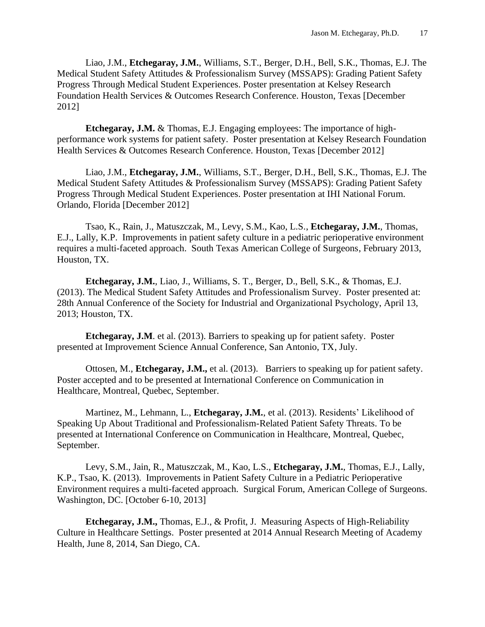Liao, J.M., **Etchegaray, J.M.**, Williams, S.T., Berger, D.H., Bell, S.K., Thomas, E.J. The Medical Student Safety Attitudes & Professionalism Survey (MSSAPS): Grading Patient Safety Progress Through Medical Student Experiences. Poster presentation at Kelsey Research Foundation Health Services & Outcomes Research Conference. Houston, Texas [December 2012]

**Etchegaray, J.M.** & Thomas, E.J. Engaging employees: The importance of highperformance work systems for patient safety. Poster presentation at Kelsey Research Foundation Health Services & Outcomes Research Conference. Houston, Texas [December 2012]

Liao, J.M., **Etchegaray, J.M.**, Williams, S.T., Berger, D.H., Bell, S.K., Thomas, E.J. The Medical Student Safety Attitudes & Professionalism Survey (MSSAPS): Grading Patient Safety Progress Through Medical Student Experiences. Poster presentation at IHI National Forum. Orlando, Florida [December 2012]

Tsao, K., Rain, J., Matuszczak, M., Levy, S.M., Kao, L.S., **Etchegaray, J.M.**, Thomas, E.J., Lally, K.P. Improvements in patient safety culture in a pediatric perioperative environment requires a multi-faceted approach. South Texas American College of Surgeons, February 2013, Houston, TX.

**Etchegaray, J.M.**, Liao, J., Williams, S. T., Berger, D., Bell, S.K., & Thomas, E.J. (2013). The Medical Student Safety Attitudes and Professionalism Survey. Poster presented at: 28th Annual Conference of the Society for Industrial and Organizational Psychology, April 13, 2013; Houston, TX.

**Etchegaray, J.M**. et al. (2013). Barriers to speaking up for patient safety. Poster presented at Improvement Science Annual Conference, San Antonio, TX, July.

Ottosen, M., **Etchegaray, J.M.,** et al. (2013). Barriers to speaking up for patient safety. Poster accepted and to be presented at International Conference on Communication in Healthcare, Montreal, Quebec, September.

Martinez, M., Lehmann, L., **Etchegaray, J.M.**, et al. (2013). Residents' Likelihood of Speaking Up About Traditional and Professionalism-Related Patient Safety Threats. To be presented at International Conference on Communication in Healthcare, Montreal, Quebec, September.

Levy, S.M., Jain, R., Matuszczak, M., Kao, L.S., **Etchegaray, J.M.**, Thomas, E.J., Lally, K.P., Tsao, K. (2013). Improvements in Patient Safety Culture in a Pediatric Perioperative Environment requires a multi-faceted approach. Surgical Forum, American College of Surgeons. Washington, DC. [October 6-10, 2013]

**Etchegaray, J.M.,** Thomas, E.J., & Profit, J. Measuring Aspects of High-Reliability Culture in Healthcare Settings. Poster presented at 2014 Annual Research Meeting of Academy Health, June 8, 2014, San Diego, CA.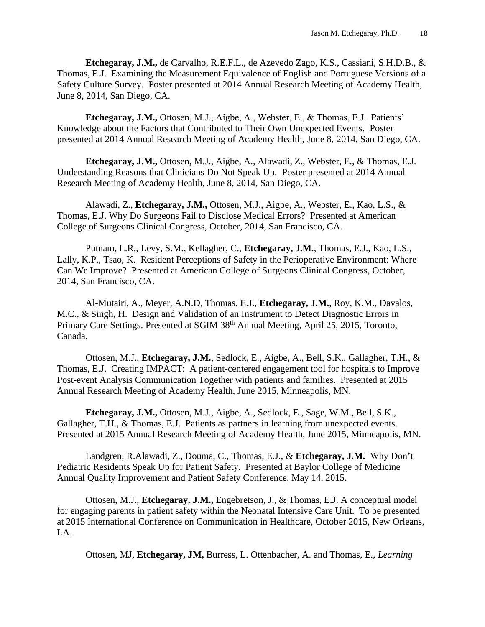**Etchegaray, J.M.,** de Carvalho, R.E.F.L., de Azevedo Zago, K.S., Cassiani, S.H.D.B., & Thomas, E.J. Examining the Measurement Equivalence of English and Portuguese Versions of a Safety Culture Survey. Poster presented at 2014 Annual Research Meeting of Academy Health, June 8, 2014, San Diego, CA.

**Etchegaray, J.M.,** Ottosen, M.J., Aigbe, A., Webster, E., & Thomas, E.J. Patients' Knowledge about the Factors that Contributed to Their Own Unexpected Events. Poster presented at 2014 Annual Research Meeting of Academy Health, June 8, 2014, San Diego, CA.

**Etchegaray, J.M.,** Ottosen, M.J., Aigbe, A., Alawadi, Z., Webster, E., & Thomas, E.J. Understanding Reasons that Clinicians Do Not Speak Up. Poster presented at 2014 Annual Research Meeting of Academy Health, June 8, 2014, San Diego, CA.

Alawadi, Z., **Etchegaray, J.M.,** Ottosen, M.J., Aigbe, A., Webster, E., Kao, L.S., & Thomas, E.J. Why Do Surgeons Fail to Disclose Medical Errors? Presented at American College of Surgeons Clinical Congress, October, 2014, San Francisco, CA.

Putnam, L.R., Levy, S.M., Kellagher, C., **Etchegaray, J.M.**, Thomas, E.J., Kao, L.S., Lally, K.P., Tsao, K. Resident Perceptions of Safety in the Perioperative Environment: Where Can We Improve? Presented at American College of Surgeons Clinical Congress, October, 2014, San Francisco, CA.

Al-Mutairi, A., Meyer, A.N.D, Thomas, E.J., **Etchegaray, J.M.**, Roy, K.M., Davalos, M.C., & Singh, H. Design and Validation of an Instrument to Detect Diagnostic Errors in Primary Care Settings. Presented at SGIM 38<sup>th</sup> Annual Meeting, April 25, 2015, Toronto, Canada.

Ottosen, M.J., **Etchegaray, J.M.**, Sedlock, E., Aigbe, A., Bell, S.K., Gallagher, T.H., & Thomas, E.J. Creating IMPACT: A patient-centered engagement tool for hospitals to Improve Post-event Analysis Communication Together with patients and families. Presented at 2015 Annual Research Meeting of Academy Health, June 2015, Minneapolis, MN.

**Etchegaray, J.M.,** Ottosen, M.J., Aigbe, A., Sedlock, E., Sage, W.M., Bell, S.K., Gallagher, T.H., & Thomas, E.J. Patients as partners in learning from unexpected events. Presented at 2015 Annual Research Meeting of Academy Health, June 2015, Minneapolis, MN.

Landgren, R.Alawadi, Z., Douma, C., Thomas, E.J., & **Etchegaray, J.M.** Why Don't Pediatric Residents Speak Up for Patient Safety. Presented at Baylor College of Medicine Annual Quality Improvement and Patient Safety Conference, May 14, 2015.

Ottosen, M.J., **Etchegaray, J.M.,** Engebretson, J., & Thomas, E.J. A conceptual model for engaging parents in patient safety within the Neonatal Intensive Care Unit. To be presented at 2015 International Conference on Communication in Healthcare, October 2015, New Orleans, LA.

Ottosen, MJ, **Etchegaray, JM,** Burress, L. Ottenbacher, A. and Thomas, E., *Learning*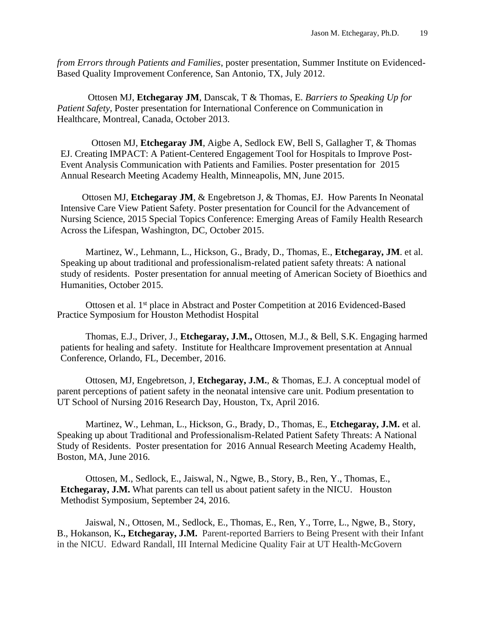*from Errors through Patients and Families*, poster presentation, Summer Institute on Evidenced-Based Quality Improvement Conference, San Antonio, TX, July 2012.

Ottosen MJ, **Etchegaray JM**, Danscak, T & Thomas, E. *Barriers to Speaking Up for Patient Safety*, Poster presentation for International Conference on Communication in Healthcare, Montreal, Canada, October 2013.

Ottosen MJ, **Etchegaray JM**, Aigbe A, Sedlock EW, Bell S, Gallagher T, & Thomas EJ. Creating IMPACT: A Patient-Centered Engagement Tool for Hospitals to Improve Post-Event Analysis Communication with Patients and Families. Poster presentation for 2015 Annual Research Meeting Academy Health, Minneapolis, MN, June 2015.

Ottosen MJ, **Etchegaray JM**, & Engebretson J, & Thomas, EJ. How Parents In Neonatal Intensive Care View Patient Safety. Poster presentation for Council for the Advancement of Nursing Science, 2015 Special Topics Conference: Emerging Areas of Family Health Research Across the Lifespan, Washington, DC, October 2015.

Martinez, W., Lehmann, L., Hickson, G., Brady, D., Thomas, E., **Etchegaray, JM**. et al. Speaking up about traditional and professionalism-related patient safety threats: A national study of residents. Poster presentation for annual meeting of American Society of Bioethics and Humanities, October 2015.

Ottosen et al. 1<sup>st</sup> place in Abstract and Poster Competition at 2016 Evidenced-Based Practice Symposium for Houston Methodist Hospital

Thomas, E.J., Driver, J., **Etchegaray, J.M.,** Ottosen, M.J., & Bell, S.K. Engaging harmed patients for healing and safety. Institute for Healthcare Improvement presentation at Annual Conference, Orlando, FL, December, 2016.

Ottosen, MJ, Engebretson, J, **Etchegaray, J.M.**, & Thomas, E.J. A conceptual model of parent perceptions of patient safety in the neonatal intensive care unit. Podium presentation to UT School of Nursing 2016 Research Day, Houston, Tx, April 2016.

Martinez, W., Lehman, L., Hickson, G., Brady, D., Thomas, E., **Etchegaray, J.M.** et al. Speaking up about Traditional and Professionalism-Related Patient Safety Threats: A National Study of Residents. Poster presentation for 2016 Annual Research Meeting Academy Health, Boston, MA, June 2016.

Ottosen, M., Sedlock, E., Jaiswal, N., Ngwe, B., Story, B., Ren, Y., Thomas, E., **Etchegaray, J.M.** What parents can tell us about patient safety in the NICU. Houston Methodist Symposium, September 24, 2016.

Jaiswal, N., Ottosen, M., Sedlock, E., Thomas, E., Ren, Y., Torre, L., Ngwe, B., Story, B., Hokanson, K**., Etchegaray, J.M.** Parent-reported Barriers to Being Present with their Infant in the NICU. Edward Randall, III Internal Medicine Quality Fair at UT Health-McGovern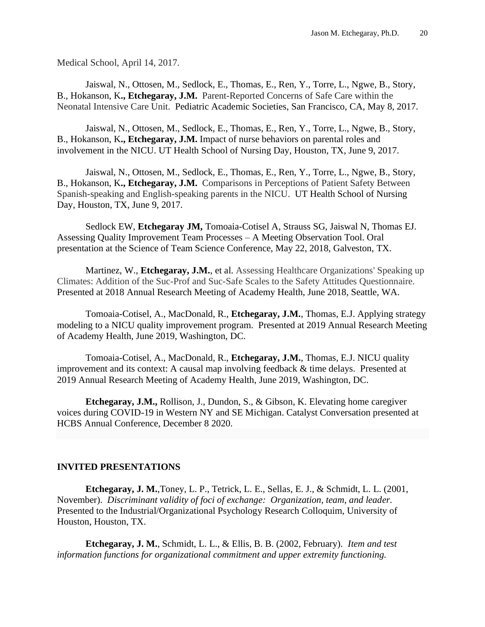Medical School, April 14, 2017.

Jaiswal, N., Ottosen, M., Sedlock, E., Thomas, E., Ren, Y., Torre, L., Ngwe, B., Story, B., Hokanson, K**., Etchegaray, J.M.** Parent-Reported Concerns of Safe Care within the Neonatal Intensive Care Unit. Pediatric Academic Societies, San Francisco, CA, May 8, 2017.

Jaiswal, N., Ottosen, M., Sedlock, E., Thomas, E., Ren, Y., Torre, L., Ngwe, B., Story, B., Hokanson, K**., Etchegaray, J.M.** Impact of nurse behaviors on parental roles and involvement in the NICU. UT Health School of Nursing Day, Houston, TX, June 9, 2017.

Jaiswal, N., Ottosen, M., Sedlock, E., Thomas, E., Ren, Y., Torre, L., Ngwe, B., Story, B., Hokanson, K**., Etchegaray, J.M.** Comparisons in Perceptions of Patient Safety Between Spanish-speaking and English-speaking parents in the NICU. UT Health School of Nursing Day, Houston, TX, June 9, 2017.

Sedlock EW, **Etchegaray JM,** Tomoaia-Cotisel A, Strauss SG, Jaiswal N, Thomas EJ. Assessing Quality Improvement Team Processes – A Meeting Observation Tool. Oral presentation at the Science of Team Science Conference, May 22, 2018, Galveston, TX.

Martinez, W., **Etchegaray, J.M.**, et al. Assessing Healthcare Organizations' Speaking up Climates: Addition of the Suc-Prof and Suc-Safe Scales to the Safety Attitudes Questionnaire. Presented at 2018 Annual Research Meeting of Academy Health, June 2018, Seattle, WA.

Tomoaia-Cotisel, A., MacDonald, R., **Etchegaray, J.M.**, Thomas, E.J. Applying strategy modeling to a NICU quality improvement program. Presented at 2019 Annual Research Meeting of Academy Health, June 2019, Washington, DC.

Tomoaia-Cotisel, A., MacDonald, R., **Etchegaray, J.M.**, Thomas, E.J. NICU quality improvement and its context: A causal map involving feedback & time delays. Presented at 2019 Annual Research Meeting of Academy Health, June 2019, Washington, DC.

**Etchegaray, J.M.,** Rollison, J., Dundon, S., & Gibson, K. Elevating home caregiver voices during COVID-19 in Western NY and SE Michigan. Catalyst Conversation presented at HCBS Annual Conference, December 8 2020.

#### **INVITED PRESENTATIONS**

**Etchegaray, J. M.**,Toney, L. P., Tetrick, L. E., Sellas, E. J., & Schmidt, L. L. (2001, November). *Discriminant validity of foci of exchange: Organization, team, and leader.* Presented to the Industrial/Organizational Psychology Research Colloquim, University of Houston, Houston, TX.

**Etchegaray, J. M.**, Schmidt, L. L., & Ellis, B. B. (2002, February). *Item and test information functions for organizational commitment and upper extremity functioning.*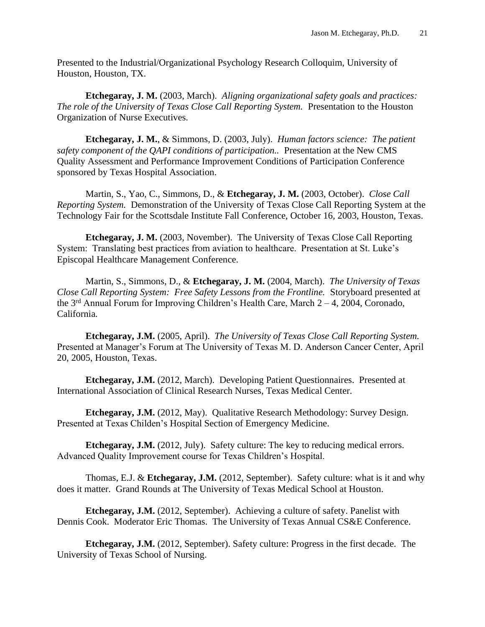Presented to the Industrial/Organizational Psychology Research Colloquim, University of Houston, Houston, TX.

**Etchegaray, J. M.** (2003, March). *Aligning organizational safety goals and practices: The role of the University of Texas Close Call Reporting System.* Presentation to the Houston Organization of Nurse Executives.

**Etchegaray, J. M.**, & Simmons, D. (2003, July). *Human factors science: The patient safety component of the QAPI conditions of participation..* Presentation at the New CMS Quality Assessment and Performance Improvement Conditions of Participation Conference sponsored by Texas Hospital Association.

Martin, S., Yao, C., Simmons, D., & **Etchegaray, J. M.** (2003, October). *Close Call Reporting System.* Demonstration of the University of Texas Close Call Reporting System at the Technology Fair for the Scottsdale Institute Fall Conference, October 16, 2003, Houston, Texas.

**Etchegaray, J. M.** (2003, November). The University of Texas Close Call Reporting System: Translating best practices from aviation to healthcare. Presentation at St. Luke's Episcopal Healthcare Management Conference.

Martin, S., Simmons, D., & **Etchegaray, J. M.** (2004, March). *The University of Texas Close Call Reporting System: Free Safety Lessons from the Frontline.* Storyboard presented at the  $3<sup>rd</sup>$  Annual Forum for Improving Children's Health Care, March  $2-4$ , 2004, Coronado, California.

**Etchegaray, J.M.** (2005, April). *The University of Texas Close Call Reporting System.* Presented at Manager's Forum at The University of Texas M. D. Anderson Cancer Center, April 20, 2005, Houston, Texas.

**Etchegaray, J.M.** (2012, March). Developing Patient Questionnaires. Presented at International Association of Clinical Research Nurses, Texas Medical Center.

**Etchegaray, J.M.** (2012, May). Qualitative Research Methodology: Survey Design. Presented at Texas Childen's Hospital Section of Emergency Medicine.

**Etchegaray, J.M.** (2012, July). Safety culture: The key to reducing medical errors. Advanced Quality Improvement course for Texas Children's Hospital.

Thomas, E.J. & **Etchegaray, J.M.** (2012, September). Safety culture: what is it and why does it matter. Grand Rounds at The University of Texas Medical School at Houston.

**Etchegaray, J.M.** (2012, September). Achieving a culture of safety. Panelist with Dennis Cook. Moderator Eric Thomas. The University of Texas Annual CS&E Conference.

**Etchegaray, J.M.** (2012, September). Safety culture: Progress in the first decade. The University of Texas School of Nursing.